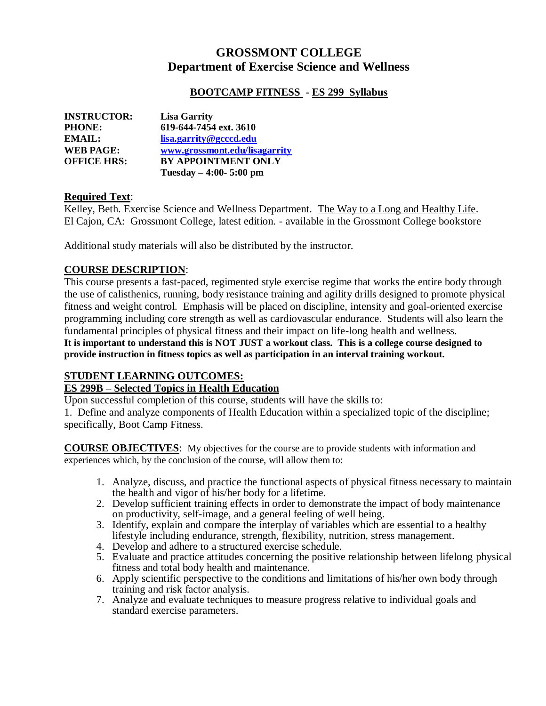# **GROSSMONT COLLEGE Department of Exercise Science and Wellness**

#### **BOOTCAMP FITNESS - ES 299 Syllabus**

| <b>INSTRUCTOR:</b> | <b>Lisa Garrity</b>           |
|--------------------|-------------------------------|
| <b>PHONE:</b>      | 619-644-7454 ext. 3610        |
| <b>EMAIL:</b>      | lisa.garrity@gcccd.edu        |
| <b>WEB PAGE:</b>   | www.grossmont.edu/lisagarrity |
| <b>OFFICE HRS:</b> | <b>BY APPOINTMENT ONLY</b>    |
|                    | Tuesday $-4:00-5:00$ pm       |

#### **Required Text**:

Kelley, Beth. Exercise Science and Wellness Department. The Way to a Long and Healthy Life. El Cajon, CA: Grossmont College, latest edition. - available in the Grossmont College bookstore

Additional study materials will also be distributed by the instructor.

### **COURSE DESCRIPTION**:

This course presents a fast-paced, regimented style exercise regime that works the entire body through the use of calisthenics, running, body resistance training and agility drills designed to promote physical fitness and weight control. Emphasis will be placed on discipline, intensity and goal-oriented exercise programming including core strength as well as cardiovascular endurance. Students will also learn the fundamental principles of physical fitness and their impact on life-long health and wellness.

**It is important to understand this is NOT JUST a workout class. This is a college course designed to provide instruction in fitness topics as well as participation in an interval training workout.**

#### **STUDENT LEARNING OUTCOMES:**

#### **ES 299B – Selected Topics in Health Education**

Upon successful completion of this course, students will have the skills to:

1. Define and analyze components of Health Education within a specialized topic of the discipline; specifically, Boot Camp Fitness.

**COURSE OBJECTIVES**: My objectives for the course are to provide students with information and experiences which, by the conclusion of the course, will allow them to:

- 1. Analyze, discuss, and practice the functional aspects of physical fitness necessary to maintain the health and vigor of his/her body for a lifetime.
- 2. Develop sufficient training effects in order to demonstrate the impact of body maintenance on productivity, self-image, and a general feeling of well being.
- 3. Identify, explain and compare the interplay of variables which are essential to a healthy lifestyle including endurance, strength, flexibility, nutrition, stress management.
- 4. Develop and adhere to a structured exercise schedule.
- 5. Evaluate and practice attitudes concerning the positive relationship between lifelong physical fitness and total body health and maintenance.
- 6. Apply scientific perspective to the conditions and limitations of his/her own body through training and risk factor analysis.
- 7. Analyze and evaluate techniques to measure progress relative to individual goals and standard exercise parameters.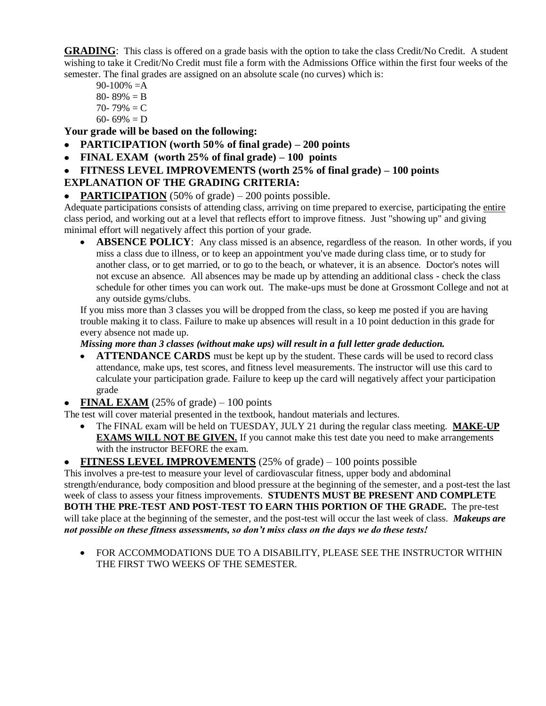**GRADING**: This class is offered on a grade basis with the option to take the class Credit/No Credit. A student wishing to take it Credit/No Credit must file a form with the Admissions Office within the first four weeks of the semester. The final grades are assigned on an absolute scale (no curves) which is:

- $90-100\% = A$ 80- 89%  $=$  B 70- 79%  $=C$
- 60- 69%  $= D$

**Your grade will be based on the following:**

- **PARTICIPATION (worth 50% of final grade) – 200 points**  $\bullet$
- **FINAL EXAM (worth 25% of final grade) – 100 points**  $\bullet$
- **FITNESS LEVEL IMPROVEMENTS (worth 25% of final grade) – 100 points**  $\bullet$

## **EXPLANATION OF THE GRADING CRITERIA:**

**PARTICIPATION** (50% of grade) – 200 points possible.

Adequate participations consists of attending class, arriving on time prepared to exercise, participating the entire class period, and working out at a level that reflects effort to improve fitness. Just "showing up" and giving minimal effort will negatively affect this portion of your grade.

**ABSENCE POLICY:** Any class missed is an absence, regardless of the reason. In other words, if you  $\bullet$ miss a class due to illness, or to keep an appointment you've made during class time, or to study for another class, or to get married, or to go to the beach, or whatever, it is an absence. Doctor's notes will not excuse an absence. All absences may be made up by attending an additional class - check the class schedule for other times you can work out. The make-ups must be done at Grossmont College and not at any outside gyms/clubs.

If you miss more than 3 classes you will be dropped from the class, so keep me posted if you are having trouble making it to class. Failure to make up absences will result in a 10 point deduction in this grade for every absence not made up.

#### *Missing more than 3 classes (without make ups) will result in a full letter grade deduction.*

- **ATTENDANCE CARDS** must be kept up by the student. These cards will be used to record class attendance, make ups, test scores, and fitness level measurements. The instructor will use this card to calculate your participation grade. Failure to keep up the card will negatively affect your participation grade
- **FINAL EXAM** (25% of grade) 100 points

The test will cover material presented in the textbook, handout materials and lectures.

The FINAL exam will be held on TUESDAY, JULY 21 during the regular class meeting. **MAKE-UP EXAMS WILL NOT BE GIVEN.** If you cannot make this test date you need to make arrangements with the instructor BEFORE the exam.

#### **FITNESS LEVEL IMPROVEMENTS** (25% of grade) – 100 points possible

This involves a pre-test to measure your level of cardiovascular fitness, upper body and abdominal strength/endurance, body composition and blood pressure at the beginning of the semester, and a post-test the last week of class to assess your fitness improvements. **STUDENTS MUST BE PRESENT AND COMPLETE BOTH THE PRE-TEST AND POST-TEST TO EARN THIS PORTION OF THE GRADE.** The pre-test will take place at the beginning of the semester, and the post-test will occur the last week of class. *Makeups are not possible on these fitness assessments, so don't miss class on the days we do these tests!*

 $\bullet$ FOR ACCOMMODATIONS DUE TO A DISABILITY, PLEASE SEE THE INSTRUCTOR WITHIN THE FIRST TWO WEEKS OF THE SEMESTER.